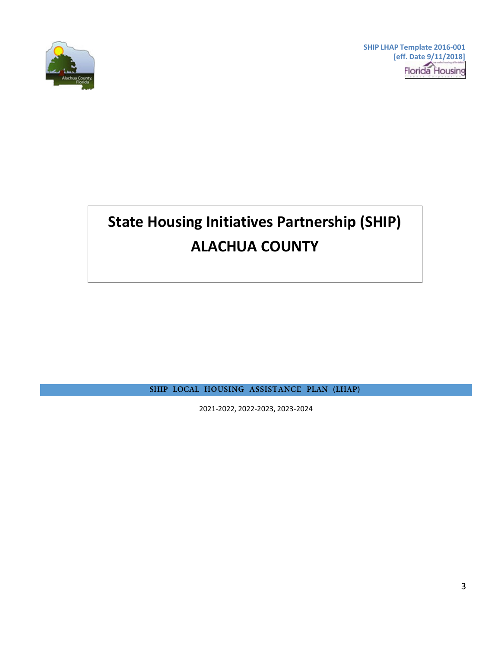

**SHIP LHAP Template 2016-001 [eff. Date 9/11/2018] Florida** Housing

# **State Housing Initiatives Partnership (SHIP) ALACHUA COUNTY**

<span id="page-0-0"></span>**SHIP LOCAL HOUSING ASSISTANCE PLAN (LHAP)**

2021-2022, 2022-2023, 2023-2024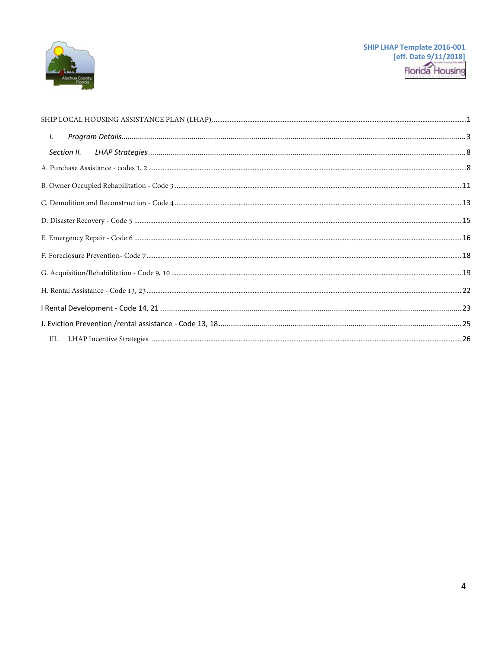

| I. |  |  |  |
|----|--|--|--|
|    |  |  |  |
|    |  |  |  |
|    |  |  |  |
|    |  |  |  |
|    |  |  |  |
|    |  |  |  |
|    |  |  |  |
|    |  |  |  |
|    |  |  |  |
|    |  |  |  |
|    |  |  |  |
|    |  |  |  |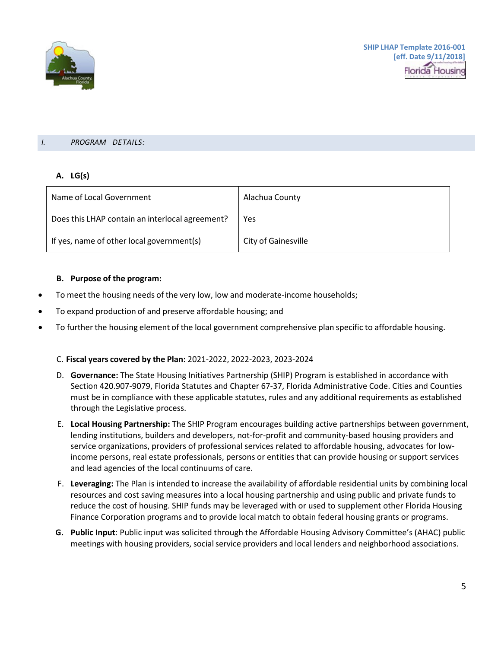

#### <span id="page-2-0"></span>*I. PROGRAM DETAILS:*

## **A. LG(s)**

| Name of Local Government                        | Alachua County             |
|-------------------------------------------------|----------------------------|
| Does this LHAP contain an interlocal agreement? | Yes                        |
| If yes, name of other local government(s)       | <b>City of Gainesville</b> |

### **B. Purpose of the program:**

- To meet the housing needs of the very low, low and moderate-income households;
- To expand production of and preserve affordable housing; and
- To further the housing element of the local government comprehensive plan specific to affordable housing.

### C. **Fiscal years covered by the Plan:** 2021-2022, 2022-2023, 2023-2024

- D. **Governance:** The State Housing Initiatives Partnership (SHIP) Program is established in accordance with Section 420.907-9079, Florida Statutes and Chapter 67-37, Florida Administrative Code. Cities and Counties must be in compliance with these applicable statutes, rules and any additional requirements as established through the Legislative process.
- E. **Local Housing Partnership:** The SHIP Program encourages building active partnerships between government, lending institutions, builders and developers, not-for-profit and community-based housing providers and service organizations, providers of professional services related to affordable housing, advocates for lowincome persons, real estate professionals, persons or entities that can provide housing or support services and lead agencies of the local continuums of care.
- F. **Leveraging:** The Plan is intended to increase the availability of affordable residential units by combining local resources and cost saving measures into a local housing partnership and using public and private funds to reduce the cost of housing. SHIP funds may be leveraged with or used to supplement other Florida Housing Finance Corporation programs and to provide local match to obtain federal housing grants or programs.
- **G. Public Input**: Public input was solicited through the Affordable Housing Advisory Committee's (AHAC) public meetings with housing providers, social service providers and local lenders and neighborhood associations.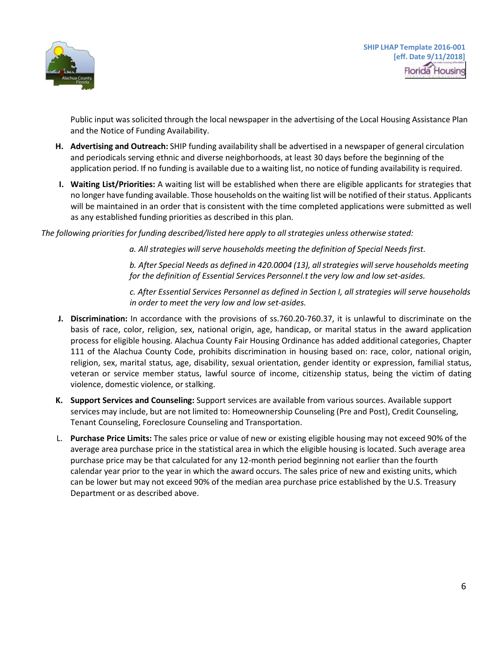

Public input was solicited through the local newspaper in the advertising of the Local Housing Assistance Plan and the Notice of Funding Availability.

- **H. Advertising and Outreach:** SHIP funding availability shall be advertised in a newspaper of general circulation and periodicals serving ethnic and diverse neighborhoods, at least 30 days before the beginning of the application period. If no funding is available due to a waiting list, no notice of funding availability is required.
- **I. Waiting List/Priorities:** A waiting list will be established when there are eligible applicants for strategies that no longer have funding available. Those households on the waiting list will be notified of their status. Applicants will be maintained in an order that is consistent with the time completed applications were submitted as well as any established funding priorities as described in this plan.

*The following priorities for funding described/listed here apply to all strategies unless otherwise stated:*

*a. All strategies will serve households meeting the definition of Special Needs first.*

*b. After Special Needs as defined in 420.0004 (13), allstrategies willserve households meeting for the definition of Essential Services Personnel.t the very low and low set-asides.*

*c. After Essential Services Personnel as defined in Section I, all strategies will serve households in order to meet the very low and low set-asides.*

- **J. Discrimination:** In accordance with the provisions of ss.760.20-760.37, it is unlawful to discriminate on the basis of race, color, religion, sex, national origin, age, handicap, or marital status in the award application process for eligible housing. Alachua County Fair Housing Ordinance has added additional categories, Chapter 111 of the Alachua County Code, prohibits discrimination in housing based on: race, color, national origin, religion, sex, marital status, age, disability, sexual orientation, gender identity or expression, familial status, veteran or service member status, lawful source of income, citizenship status, being the victim of dating violence, domestic violence, or stalking.
- **K. Support Services and Counseling:** Support services are available from various sources. Available support services may include, but are not limited to: Homeownership Counseling (Pre and Post), Credit Counseling, Tenant Counseling, Foreclosure Counseling and Transportation.
- L. **Purchase Price Limits:** The sales price or value of new or existing eligible housing may not exceed 90% of the average area purchase price in the statistical area in which the eligible housing is located. Such average area purchase price may be that calculated for any 12-month period beginning not earlier than the fourth calendar year prior to the year in which the award occurs. The sales price of new and existing units, which can be lower but may not exceed 90% of the median area purchase price established by the U.S. Treasury Department or as described above.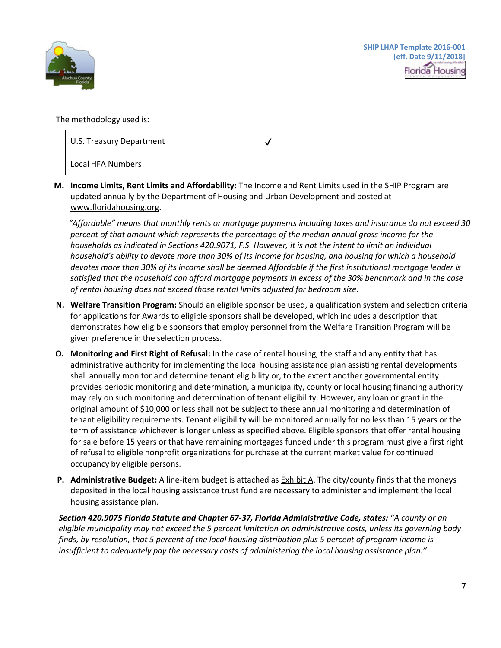

The methodology used is:

| U.S. Treasury Department |  |
|--------------------------|--|
| Local HFA Numbers        |  |

**M. Income Limits, Rent Limits and Affordability:** The Income and Rent Limits used in the SHIP Program are updated annually by the Department of Housing and Urban Development and posted at [www.floridahousing.org.](http://www.floridahousing.org/)

*"Affordable" means that monthly rents or mortgage payments including taxes and insurance do not exceed 30 percent of that amount which represents the percentage of the median annual gross income for the households as indicated in Sections 420.9071, F.S. However, it is not the intent to limit an individual household's ability to devote more than 30% of its income for housing, and housing for which a household devotes more than 30% of its income shall be deemed Affordable if the first institutional mortgage lender is satisfied that the household can afford mortgage payments in excess of the 30% benchmark and in the case of rental housing does not exceed those rental limits adjusted for bedroom size.*

- **N. Welfare Transition Program:** Should an eligible sponsor be used, a qualification system and selection criteria for applications for Awards to eligible sponsors shall be developed, which includes a description that demonstrates how eligible sponsors that employ personnel from the Welfare Transition Program will be given preference in the selection process.
- **O. Monitoring and First Right of Refusal:** In the case of rental housing, the staff and any entity that has administrative authority for implementing the local housing assistance plan assisting rental developments shall annually monitor and determine tenant eligibility or, to the extent another governmental entity provides periodic monitoring and determination, a municipality, county or local housing financing authority may rely on such monitoring and determination of tenant eligibility. However, any loan or grant in the original amount of \$10,000 or less shall not be subject to these annual monitoring and determination of tenant eligibility requirements. Tenant eligibility will be monitored annually for no less than 15 years or the term of assistance whichever is longer unless as specified above. Eligible sponsors that offer rental housing for sale before 15 years or that have remaining mortgages funded under this program must give a first right of refusal to eligible nonprofit organizations for purchase at the current market value for continued occupancy by eligible persons.
- **P. Administrative Budget:** A line-item budget is attached as Exhibit A. The city/county finds that the moneys deposited in the local housing assistance trust fund are necessary to administer and implement the local housing assistance plan.

*Section 420.9075 Florida Statute and Chapter 67-37, Florida Administrative Code, states: "A county or an eligible municipality may not exceed the 5 percent limitation on administrative costs, unless its governing body finds, by resolution, that 5 percent of the local housing distribution plus 5 percent of program income is insufficient to adequately pay the necessary costs of administering the local housing assistance plan."*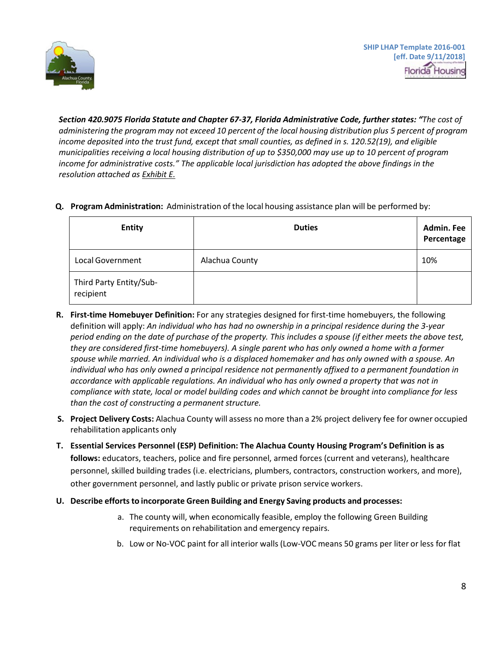

*Section 420.9075 Florida Statute and Chapter 67-37, Florida Administrative Code, further states: "The cost of* administering the program may not exceed 10 percent of the local housing distribution plus 5 percent of program *income deposited into the trust fund, except that small counties, as defined in s. 120.52(19), and eligible municipalities receiving a local housing distribution of up to \$350,000 may use up to 10 percent of program income for administrative costs." The applicable local jurisdiction has adopted the above findings in the resolution attached as Exhibit E.*

**Q. Program Administration:** Administration of the local housing assistance plan will be performed by:

| <b>Entity</b>                        | <b>Duties</b>  | <b>Admin. Fee</b><br>Percentage |
|--------------------------------------|----------------|---------------------------------|
| Local Government                     | Alachua County | 10%                             |
| Third Party Entity/Sub-<br>recipient |                |                                 |

- **R. First-time Homebuyer Definition:** For any strategies designed for first-time homebuyers, the following definition will apply: *An individual who has had no ownership in a principal residence during the 3-year period ending on the date of purchase of the property. This includes a spouse (if either meets the above test, they are considered first-time homebuyers). A single parent who has only owned a home with a former spouse while married. An individual who is a displaced homemaker and has only owned with a spouse. An individual who has only owned a principal residence not permanently affixed to a permanent foundation in accordance with applicable regulations. An individual who has only owned a property that was not in compliance with state, local or model building codes and which cannot be brought into compliance for less than the cost of constructing a permanent structure.*
- **S. Project Delivery Costs:** Alachua County will assess no more than a 2% project delivery fee for owner occupied rehabilitation applicants only
- **T. Essential Services Personnel (ESP) Definition: The Alachua County Housing Program's Definition is as follows:** educators, teachers, police and fire personnel, armed forces (current and veterans), healthcare personnel, skilled building trades (i.e. electricians, plumbers, contractors, construction workers, and more), other government personnel, and lastly public or private prison service workers.
- **U. Describe efforts to incorporate Green Building and Energy Saving products and processes:**
	- a. The county will, when economically feasible, employ the following Green Building requirements on rehabilitation and emergency repairs.
	- b. Low or No-VOC paint for all interior walls (Low-VOC means 50 grams per liter or less for flat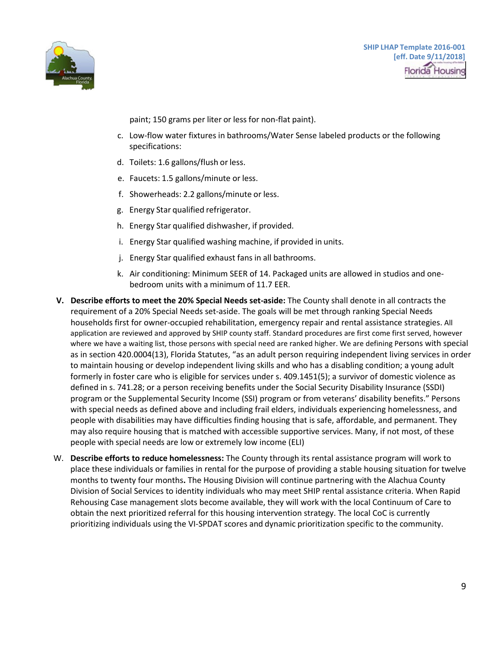

paint; 150 grams per liter or less for non-flat paint).

- c. Low-flow water fixtures in bathrooms/Water Sense labeled products or the following specifications:
- d. Toilets: 1.6 gallons/flush or less.
- e. Faucets: 1.5 gallons/minute or less.
- f. Showerheads: 2.2 gallons/minute or less.
- g. Energy Star qualified refrigerator.
- h. Energy Star qualified dishwasher, if provided.
- i. Energy Star qualified washing machine, if provided in units.
- j. Energy Star qualified exhaust fans in all bathrooms.
- k. Air conditioning: Minimum SEER of 14. Packaged units are allowed in studios and onebedroom units with a minimum of 11.7 EER.
- **V. Describe efforts to meet the 20% Special Needs set-aside:** The County shall denote in all contracts the requirement of a 20% Special Needs set-aside. The goals will be met through ranking Special Needs households first for owner-occupied rehabilitation, emergency repair and rental assistance strategies. All application are reviewed and approved by SHIP county staff. Standard procedures are first come first served, however where we have a waiting list, those persons with special need are ranked higher. We are defining Persons with special as in section 420.0004(13), Florida Statutes, "as an adult person requiring independent living services in order to maintain housing or develop independent living skills and who has a disabling condition; a young adult formerly in foster care who is eligible for services under s. 409.1451(5); a survivor of domestic violence as defined in s. 741.28; or a person receiving benefits under the Social Security Disability Insurance (SSDI) program or the Supplemental Security Income (SSI) program or from veterans' disability benefits." Persons with special needs as defined above and including frail elders, individuals experiencing homelessness, and people with disabilities may have difficulties finding housing that is safe, affordable, and permanent. They may also require housing that is matched with accessible supportive services. Many, if not most, of these people with special needs are low or extremely low income (ELI)
- W. **Describe efforts to reduce homelessness:** The County through its rental assistance program will work to place these individuals or families in rental for the purpose of providing a stable housing situation for twelve months to twenty four months**.** The Housing Division will continue partnering with the Alachua County Division of Social Services to identity individuals who may meet SHIP rental assistance criteria. When Rapid Rehousing Case management slots become available, they will work with the local Continuum of Care to obtain the next prioritized referral for this housing intervention strategy. The local CoC is currently prioritizing individuals using the VI-SPDAT scores and dynamic prioritization specific to the community.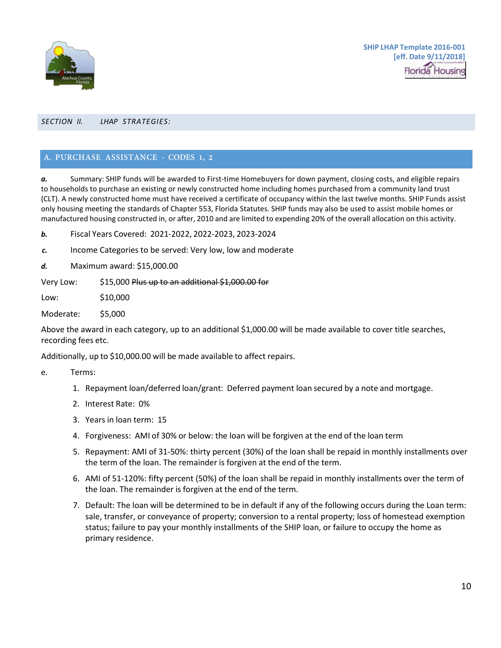

#### <span id="page-7-0"></span>*SECTION II. LHAP STRATEGIES:*

## <span id="page-7-1"></span>**A. PURCHASE ASSISTANCE - CODES 1, 2**

*a.* Summary: SHIP funds will be awarded to First-time Homebuyers for down payment, closing costs, and eligible repairs to households to purchase an existing or newly constructed home including homes purchased from a community land trust (CLT). A newly constructed home must have received a certificate of occupancy within the last twelve months. SHIP Funds assist only housing meeting the standards of Chapter 553, Florida Statutes. SHIP funds may also be used to assist mobile homes or manufactured housing constructed in, or after, 2010 and are limited to expending 20% of the overall allocation on this activity.

*b.* Fiscal Years Covered: 2021-2022, 2022-2023, 2023-2024

*c.* Income Categories to be served: Very low, low and moderate

*d.* Maximum award: \$15,000.00

Very Low: \$15,000 Plus up to an additional \$1,000.00 for

Low: \$10,000

Moderate: \$5,000

Above the award in each category, up to an additional \$1,000.00 will be made available to cover title searches, recording fees etc.

Additionally, up to \$10,000.00 will be made available to affect repairs.

e. Terms:

- 1. Repayment loan/deferred loan/grant: Deferred payment loan secured by a note and mortgage.
- 2. Interest Rate: 0%
- 3. Years in loan term: 15
- 4. Forgiveness: AMI of 30% or below: the loan will be forgiven at the end of the loan term
- 5. Repayment: AMI of 31-50%: thirty percent (30%) of the loan shall be repaid in monthly installments over the term of the loan. The remainder is forgiven at the end of the term.
- 6. AMI of 51-120%: fifty percent (50%) of the loan shall be repaid in monthly installments over the term of the loan. The remainder is forgiven at the end of the term.
- 7. Default: The loan will be determined to be in default if any of the following occurs during the Loan term: sale, transfer, or conveyance of property; conversion to a rental property; loss of homestead exemption status; failure to pay your monthly installments of the SHIP loan, or failure to occupy the home as primary residence.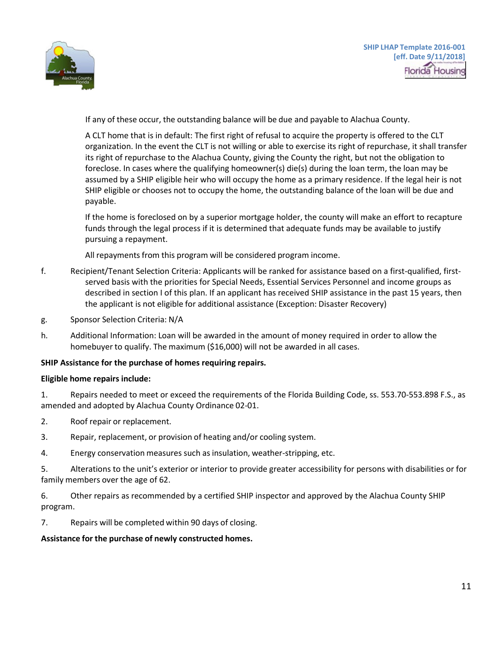

If any of these occur, the outstanding balance will be due and payable to Alachua County.

A CLT home that is in default: The first right of refusal to acquire the property is offered to the CLT organization. In the event the CLT is not willing or able to exercise its right of repurchase, it shall transfer its right of repurchase to the Alachua County, giving the County the right, but not the obligation to foreclose. In cases where the qualifying homeowner(s) die(s) during the loan term, the loan may be assumed by a SHIP eligible heir who will occupy the home as a primary residence. If the legal heir is not SHIP eligible or chooses not to occupy the home, the outstanding balance of the loan will be due and payable.

If the home is foreclosed on by a superior mortgage holder, the county will make an effort to recapture funds through the legal process if it is determined that adequate funds may be available to justify pursuing a repayment.

All repayments from this program will be considered program income.

- f. Recipient/Tenant Selection Criteria: Applicants will be ranked for assistance based on a first-qualified, firstserved basis with the priorities for Special Needs, Essential Services Personnel and income groups as described in section I of this plan. If an applicant has received SHIP assistance in the past 15 years, then the applicant is not eligible for additional assistance (Exception: Disaster Recovery)
- g. Sponsor Selection Criteria: N/A
- h. Additional Information: Loan will be awarded in the amount of money required in order to allow the homebuyer to qualify. The maximum (\$16,000) will not be awarded in all cases.

### **SHIP Assistance for the purchase of homes requiring repairs.**

### **Eligible home repairs include:**

1. Repairs needed to meet or exceed the requirements of the Florida Building Code, ss. 553.70-553.898 F.S., as amended and adopted by Alachua County Ordinance 02-01.

- 2. Roof repair or replacement.
- 3. Repair, replacement, or provision of heating and/or cooling system.
- 4. Energy conservation measures such as insulation, weather-stripping, etc.

5. Alterations to the unit's exterior or interior to provide greater accessibility for persons with disabilities or for family members over the age of 62.

- 6. Other repairs as recommended by a certified SHIP inspector and approved by the Alachua County SHIP program.
- 7. Repairs will be completed within 90 days of closing.

# **Assistance for the purchase of newly constructed homes.**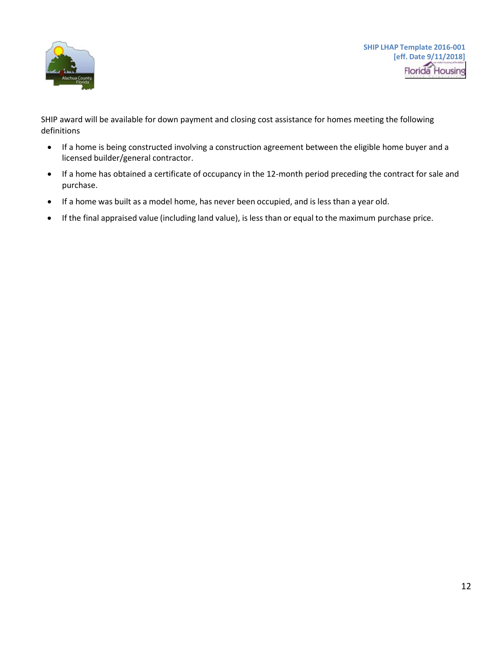

SHIP award will be available for down payment and closing cost assistance for homes meeting the following definitions

- If a home is being constructed involving a construction agreement between the eligible home buyer and a licensed builder/general contractor.
- If a home has obtained a certificate of occupancy in the 12-month period preceding the contract for sale and purchase.
- If a home was built as a model home, has never been occupied, and is less than a year old.
- If the final appraised value (including land value), is less than or equal to the maximum purchase price.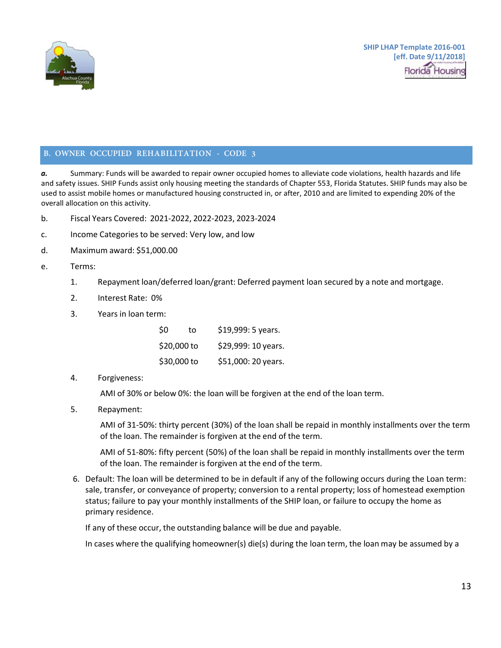

## <span id="page-10-0"></span>**B. OWNER OCCUPIED REHABILITATION - CODE 3**

*a.* Summary: Funds will be awarded to repair owner occupied homes to alleviate code violations, health hazards and life and safety issues. SHIP Funds assist only housing meeting the standards of Chapter 553, Florida Statutes. SHIP funds may also be used to assist mobile homes or manufactured housing constructed in, or after, 2010 and are limited to expending 20% of the overall allocation on this activity.

- b. Fiscal Years Covered: 2021-2022, 2022-2023, 2023-2024
- c. Income Categories to be served: Very low, and low
- d. Maximum award: \$51,000.00
- e. Terms:
	- 1. Repayment loan/deferred loan/grant: Deferred payment loan secured by a note and mortgage.
	- 2. Interest Rate: 0%
	- 3. Years in loan term:

| \$0         | to          | \$19,999: 5 years.  |
|-------------|-------------|---------------------|
|             | \$20,000 to | \$29,999: 10 years. |
| \$30,000 to |             | \$51,000: 20 years. |

4. Forgiveness:

AMI of 30% or below 0%: the loan will be forgiven at the end of the loan term.

5. Repayment:

AMI of 31-50%: thirty percent (30%) of the loan shall be repaid in monthly installments over the term of the loan. The remainder is forgiven at the end of the term.

AMI of 51-80%: fifty percent (50%) of the loan shall be repaid in monthly installments over the term of the loan. The remainder is forgiven at the end of the term.

6. Default: The loan will be determined to be in default if any of the following occurs during the Loan term: sale, transfer, or conveyance of property; conversion to a rental property; loss of homestead exemption status; failure to pay your monthly installments of the SHIP loan, or failure to occupy the home as primary residence.

If any of these occur, the outstanding balance will be due and payable.

In cases where the qualifying homeowner(s) die(s) during the loan term, the loan may be assumed by a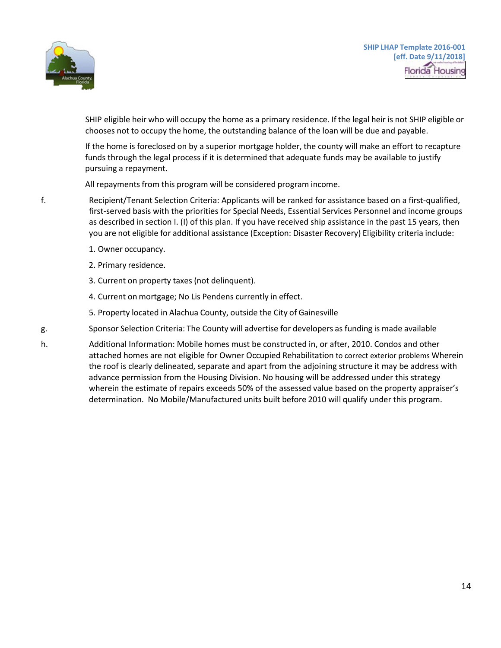

SHIP eligible heir who will occupy the home as a primary residence. If the legal heir is not SHIP eligible or chooses not to occupy the home, the outstanding balance of the loan will be due and payable.

If the home is foreclosed on by a superior mortgage holder, the county will make an effort to recapture funds through the legal process if it is determined that adequate funds may be available to justify pursuing a repayment.

All repayments from this program will be considered program income.

- f. Recipient/Tenant Selection Criteria: Applicants will be ranked for assistance based on a first-qualified, first-served basis with the priorities for Special Needs, Essential Services Personnel and income groups as described in section I. (I) of this plan. If you have received ship assistance in the past 15 years, then you are not eligible for additional assistance (Exception: Disaster Recovery) Eligibility criteria include:
	- 1. Owner occupancy.
	- 2. Primary residence.
	- 3. Current on property taxes (not delinquent).
	- 4. Current on mortgage; No Lis Pendens currently in effect.
	- 5. Property located in Alachua County, outside the City of Gainesville
- g. Sponsor Selection Criteria: The County will advertise for developers as funding is made available
- h. Additional Information: Mobile homes must be constructed in, or after, 2010. Condos and other attached homes are not eligible for Owner Occupied Rehabilitation to correct exterior problems Wherein the roof is clearly delineated, separate and apart from the adjoining structure it may be address with advance permission from the Housing Division. No housing will be addressed under this strategy wherein the estimate of repairs exceeds 50% of the assessed value based on the property appraiser's determination. No Mobile/Manufactured units built before 2010 will qualify under this program.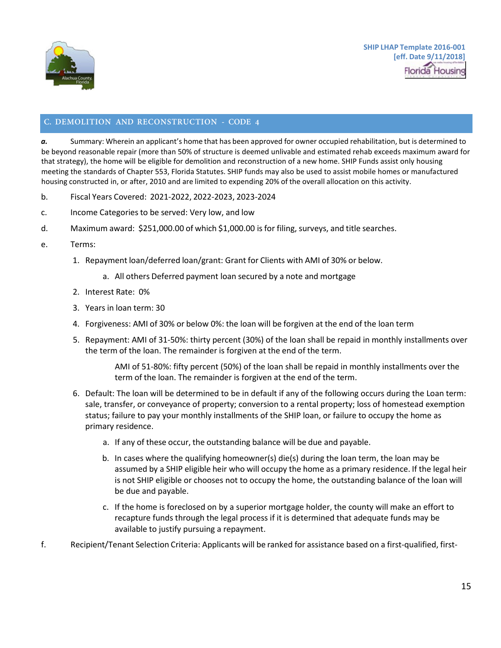

# <span id="page-12-0"></span>**C. DEMOLITION AND RECONSTRUCTION - CODE 4**

*a.* Summary: Wherein an applicant's home that has been approved for owner occupied rehabilitation, but is determined to be beyond reasonable repair (more than 50% of structure is deemed unlivable and estimated rehab exceeds maximum award for that strategy), the home will be eligible for demolition and reconstruction of a new home. SHIP Funds assist only housing meeting the standards of Chapter 553, Florida Statutes. SHIP funds may also be used to assist mobile homes or manufactured housing constructed in, or after, 2010 and are limited to expending 20% of the overall allocation on this activity.

- b. Fiscal Years Covered: 2021-2022, 2022-2023, 2023-2024
- c. Income Categories to be served: Very low, and low
- d. Maximum award: \$251,000.00 of which \$1,000.00 is for filing, surveys, and title searches.
- e. Terms:
	- 1. Repayment loan/deferred loan/grant: Grant for Clients with AMI of 30% or below.
		- a. All others Deferred payment loan secured by a note and mortgage
	- 2. Interest Rate: 0%
	- 3. Years in loan term: 30
	- 4. Forgiveness: AMI of 30% or below 0%: the loan will be forgiven at the end of the loan term
	- 5. Repayment: AMI of 31-50%: thirty percent (30%) of the loan shall be repaid in monthly installments over the term of the loan. The remainder is forgiven at the end of the term.

AMI of 51-80%: fifty percent (50%) of the loan shall be repaid in monthly installments over the term of the loan. The remainder is forgiven at the end of the term.

- 6. Default: The loan will be determined to be in default if any of the following occurs during the Loan term: sale, transfer, or conveyance of property; conversion to a rental property; loss of homestead exemption status; failure to pay your monthly installments of the SHIP loan, or failure to occupy the home as primary residence.
	- a. If any of these occur, the outstanding balance will be due and payable.
	- b. In cases where the qualifying homeowner(s) die(s) during the loan term, the loan may be assumed by a SHIP eligible heir who will occupy the home as a primary residence. If the legal heir is not SHIP eligible or chooses not to occupy the home, the outstanding balance of the loan will be due and payable.
	- c. If the home is foreclosed on by a superior mortgage holder, the county will make an effort to recapture funds through the legal process if it is determined that adequate funds may be available to justify pursuing a repayment.
- f. Recipient/Tenant Selection Criteria: Applicants will be ranked for assistance based on a first-qualified, first-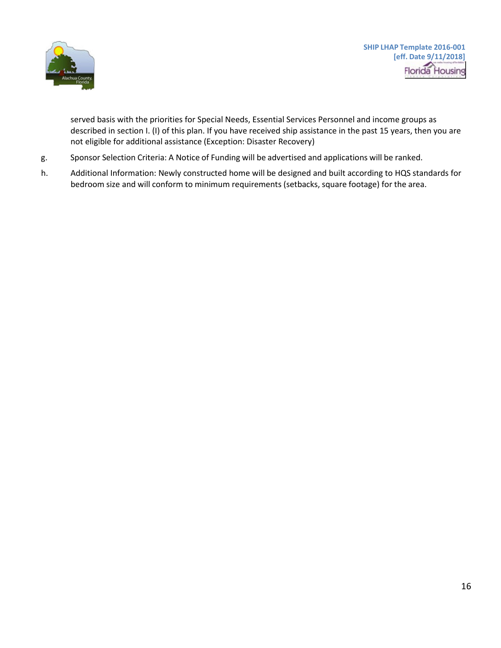

served basis with the priorities for Special Needs, Essential Services Personnel and income groups as described in section I. (I) of this plan. If you have received ship assistance in the past 15 years, then you are not eligible for additional assistance (Exception: Disaster Recovery)

- g. Sponsor Selection Criteria: A Notice of Funding will be advertised and applications will be ranked.
- h. Additional Information: Newly constructed home will be designed and built according to HQS standards for bedroom size and will conform to minimum requirements (setbacks, square footage) for the area.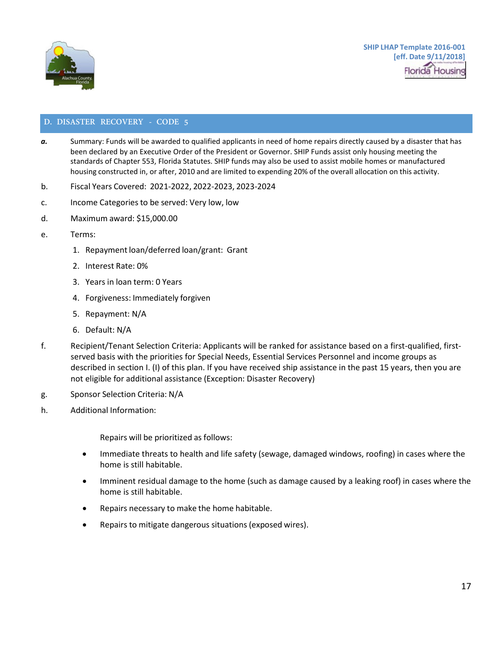

# <span id="page-14-0"></span>**D. DISASTER RECOVERY - CODE 5**

- *a.* Summary: Funds will be awarded to qualified applicants in need of home repairs directly caused by a disaster that has been declared by an Executive Order of the President or Governor. SHIP Funds assist only housing meeting the standards of Chapter 553, Florida Statutes. SHIP funds may also be used to assist mobile homes or manufactured housing constructed in, or after, 2010 and are limited to expending 20% of the overall allocation on this activity.
- b. Fiscal Years Covered: 2021-2022, 2022-2023, 2023-2024
- c. Income Categories to be served: Very low, low
- d. Maximum award: \$15,000.00
- e. Terms:
	- 1. Repayment loan/deferred loan/grant: Grant
	- 2. Interest Rate: 0%
	- 3. Years in loan term: 0 Years
	- 4. Forgiveness: Immediately forgiven
	- 5. Repayment: N/A
	- 6. Default: N/A
- f. Recipient/Tenant Selection Criteria: Applicants will be ranked for assistance based on a first-qualified, firstserved basis with the priorities for Special Needs, Essential Services Personnel and income groups as described in section I. (I) of this plan. If you have received ship assistance in the past 15 years, then you are not eligible for additional assistance (Exception: Disaster Recovery)
- g. Sponsor Selection Criteria: N/A
- h. Additional Information:

Repairs will be prioritized as follows:

- Immediate threats to health and life safety (sewage, damaged windows, roofing) in cases where the home is still habitable.
- Imminent residual damage to the home (such as damage caused by a leaking roof) in cases where the home is still habitable.
- Repairs necessary to make the home habitable.
- Repairs to mitigate dangerous situations (exposed wires).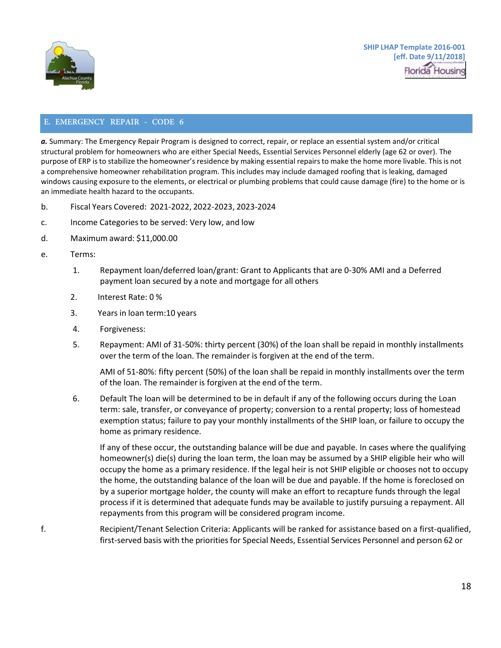

## <span id="page-15-0"></span>**E. EMERGENCY REPAIR - CODE 6**

*a.* Summary: The Emergency Repair Program is designed to correct, repair, or replace an essential system and/or critical structural problem for homeowners who are either Special Needs, Essential Services Personnel elderly (age 62 or over). The purpose of ERP is to stabilize the homeowner's residence by making essential repairs to make the home more livable. This is not a comprehensive homeowner rehabilitation program. This includes may include damaged roofing that is leaking, damaged windows causing exposure to the elements, or electrical or plumbing problems that could cause damage (fire) to the home or is an immediate health hazard to the occupants.

- b. Fiscal Years Covered: 2021-2022, 2022-2023, 2023-2024
- c. Income Categories to be served: Very low, and low
- d. Maximum award: \$11,000.00
- e. Terms:
	- 1. Repayment loan/deferred loan/grant: Grant to Applicants that are 0-30% AMI and a Deferred payment loan secured by a note and mortgage for all others
	- 2. Interest Rate: 0 %
	- 3. Years in loan term:10 years
	- 4. Forgiveness:
	- 5. Repayment: AMI of 31-50%: thirty percent (30%) of the loan shall be repaid in monthly installments over the term of the loan. The remainder is forgiven at the end of the term.

AMI of 51-80%: fifty percent (50%) of the loan shall be repaid in monthly installments over the term of the loan. The remainder is forgiven at the end of the term.

6. Default The loan will be determined to be in default if any of the following occurs during the Loan term: sale, transfer, or conveyance of property; conversion to a rental property; loss of homestead exemption status; failure to pay your monthly installments of the SHIP loan, or failure to occupy the home as primary residence.

If any of these occur, the outstanding balance will be due and payable. In cases where the qualifying homeowner(s) die(s) during the loan term, the loan may be assumed by a SHIP eligible heir who will occupy the home as a primary residence. If the legal heir is not SHIP eligible or chooses not to occupy the home, the outstanding balance of the loan will be due and payable. If the home is foreclosed on by a superior mortgage holder, the county will make an effort to recapture funds through the legal process if it is determined that adequate funds may be available to justify pursuing a repayment. All repayments from this program will be considered program income.

f. Recipient/Tenant Selection Criteria: Applicants will be ranked for assistance based on a first-qualified, first-served basis with the priorities for Special Needs, Essential Services Personnel and person 62 or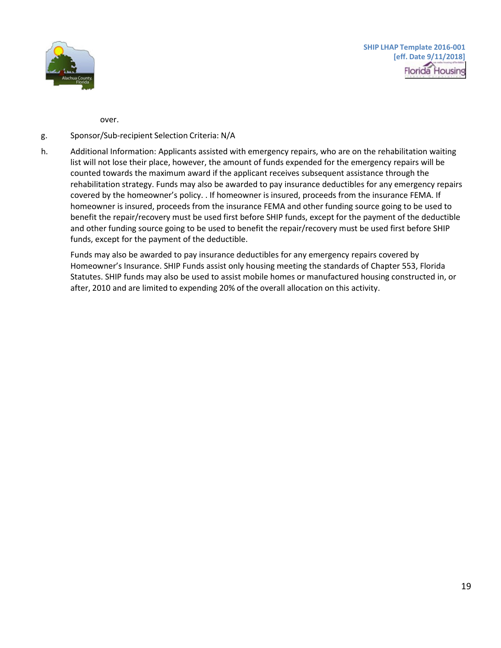

over.

## g. Sponsor/Sub-recipient Selection Criteria: N/A

h. Additional Information: Applicants assisted with emergency repairs, who are on the rehabilitation waiting list will not lose their place, however, the amount of funds expended for the emergency repairs will be counted towards the maximum award if the applicant receives subsequent assistance through the rehabilitation strategy. Funds may also be awarded to pay insurance deductibles for any emergency repairs covered by the homeowner's policy. . If homeowner is insured, proceeds from the insurance FEMA. If homeowner is insured, proceeds from the insurance FEMA and other funding source going to be used to benefit the repair/recovery must be used first before SHIP funds, except for the payment of the deductible and other funding source going to be used to benefit the repair/recovery must be used first before SHIP funds, except for the payment of the deductible.

Funds may also be awarded to pay insurance deductibles for any emergency repairs covered by Homeowner's Insurance. SHIP Funds assist only housing meeting the standards of Chapter 553, Florida Statutes. SHIP funds may also be used to assist mobile homes or manufactured housing constructed in, or after, 2010 and are limited to expending 20% of the overall allocation on this activity.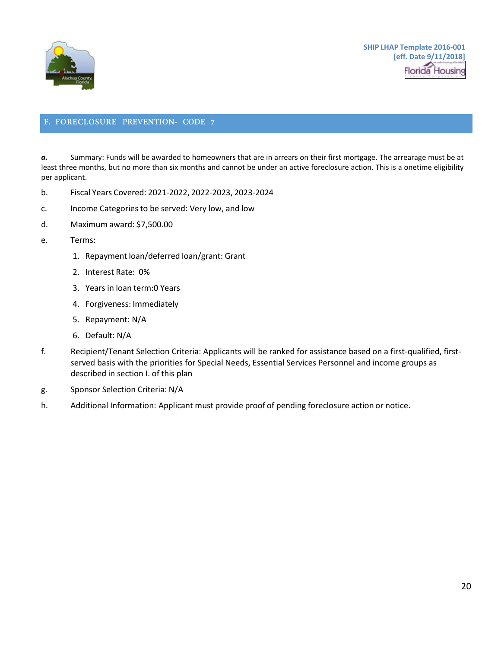

# <span id="page-17-0"></span>**F. FORECLOSURE PREVENTION- CODE 7**

*a.* Summary: Funds will be awarded to homeowners that are in arrears on their first mortgage. The arrearage must be at least three months, but no more than six months and cannot be under an active foreclosure action. This is a onetime eligibility per applicant.

- b. Fiscal Years Covered: 2021-2022, 2022-2023, 2023-2024
- c. Income Categories to be served: Very low, and low
- d. Maximum award: \$7,500.00
- e. Terms:
	- 1. Repayment loan/deferred loan/grant: Grant
	- 2. Interest Rate: 0%
	- 3. Years in loan term:0 Years
	- 4. Forgiveness: Immediately
	- 5. Repayment: N/A
	- 6. Default: N/A
- f. Recipient/Tenant Selection Criteria: Applicants will be ranked for assistance based on a first-qualified, firstserved basis with the priorities for Special Needs, Essential Services Personnel and income groups as described in section I. of this plan
- g. Sponsor Selection Criteria: N/A
- h. Additional Information: Applicant must provide proof of pending foreclosure action or notice.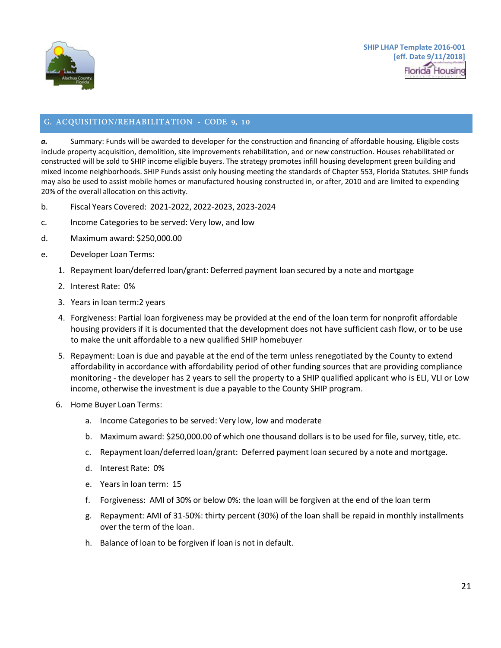

# <span id="page-18-0"></span>**G. ACQUISITION/REHABILITATION - CODE 9, 10**

*a.* Summary: Funds will be awarded to developer for the construction and financing of affordable housing. Eligible costs include property acquisition, demolition, site improvements rehabilitation, and or new construction. Houses rehabilitated or constructed will be sold to SHIP income eligible buyers. The strategy promotes infill housing development green building and mixed income neighborhoods. SHIP Funds assist only housing meeting the standards of Chapter 553, Florida Statutes. SHIP funds may also be used to assist mobile homes or manufactured housing constructed in, or after, 2010 and are limited to expending 20% of the overall allocation on this activity.

- b. Fiscal Years Covered: 2021-2022, 2022-2023, 2023-2024
- c. Income Categories to be served: Very low, and low
- d. Maximum award: \$250,000.00
- e. Developer Loan Terms:
	- 1. Repayment loan/deferred loan/grant: Deferred payment loan secured by a note and mortgage
	- 2. Interest Rate: 0%
	- 3. Years in loan term:2 years
	- 4. Forgiveness: Partial loan forgiveness may be provided at the end of the loan term for nonprofit affordable housing providers if it is documented that the development does not have sufficient cash flow, or to be use to make the unit affordable to a new qualified SHIP homebuyer
	- 5. Repayment: Loan is due and payable at the end of the term unless renegotiated by the County to extend affordability in accordance with affordability period of other funding sources that are providing compliance monitoring - the developer has 2 years to sell the property to a SHIP qualified applicant who is ELI, VLI or Low income, otherwise the investment is due a payable to the County SHIP program.
	- 6. Home Buyer Loan Terms:
		- a. Income Categories to be served: Very low, low and moderate
		- b. Maximum award: \$250,000.00 of which one thousand dollars isto be used for file, survey, title, etc.
		- c. Repayment loan/deferred loan/grant: Deferred payment loan secured by a note and mortgage.
		- d. Interest Rate: 0%
		- e. Years in loan term: 15
		- f. Forgiveness: AMI of 30% or below 0%: the loan will be forgiven at the end of the loan term
		- g. Repayment: AMI of 31-50%: thirty percent (30%) of the loan shall be repaid in monthly installments over the term of the loan.
		- h. Balance of loan to be forgiven if loan is not in default.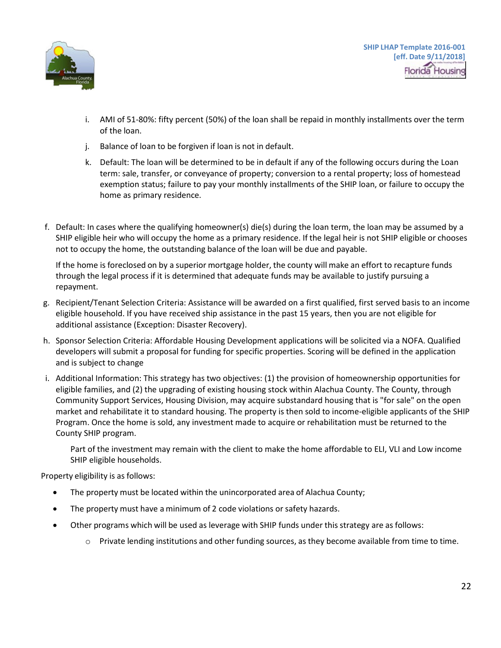

**SHIP LHAP Template 2016-001 [eff. Date 9/11/2018] Florida** Housing

- i. AMI of 51-80%: fifty percent (50%) of the loan shall be repaid in monthly installments over the term of the loan.
- j. Balance of loan to be forgiven if loan is not in default.
- k. Default: The loan will be determined to be in default if any of the following occurs during the Loan term: sale, transfer, or conveyance of property; conversion to a rental property; loss of homestead exemption status; failure to pay your monthly installments of the SHIP loan, or failure to occupy the home as primary residence.
- f. Default: In cases where the qualifying homeowner(s) die(s) during the loan term, the loan may be assumed by a SHIP eligible heir who will occupy the home as a primary residence. If the legal heir is not SHIP eligible or chooses not to occupy the home, the outstanding balance of the loan will be due and payable.

If the home is foreclosed on by a superior mortgage holder, the county will make an effort to recapture funds through the legal process if it is determined that adequate funds may be available to justify pursuing a repayment.

- g. Recipient/Tenant Selection Criteria: Assistance will be awarded on a first qualified, first served basis to an income eligible household. If you have received ship assistance in the past 15 years, then you are not eligible for additional assistance (Exception: Disaster Recovery).
- h. Sponsor Selection Criteria: Affordable Housing Development applications will be solicited via a NOFA. Qualified developers will submit a proposal for funding for specific properties. Scoring will be defined in the application and is subject to change
- i. Additional Information: This strategy has two objectives: (1) the provision of homeownership opportunities for eligible families, and (2) the upgrading of existing housing stock within Alachua County. The County, through Community Support Services, Housing Division, may acquire substandard housing that is "for sale" on the open market and rehabilitate it to standard housing. The property is then sold to income-eligible applicants of the SHIP Program. Once the home is sold, any investment made to acquire or rehabilitation must be returned to the County SHIP program.

Part of the investment may remain with the client to make the home affordable to ELI, VLI and Low income SHIP eligible households.

Property eligibility is as follows:

- The property must be located within the unincorporated area of Alachua County;
- The property must have a minimum of 2 code violations or safety hazards.
- Other programs which will be used as leverage with SHIP funds under this strategy are as follows:
	- $\circ$  Private lending institutions and other funding sources, as they become available from time to time.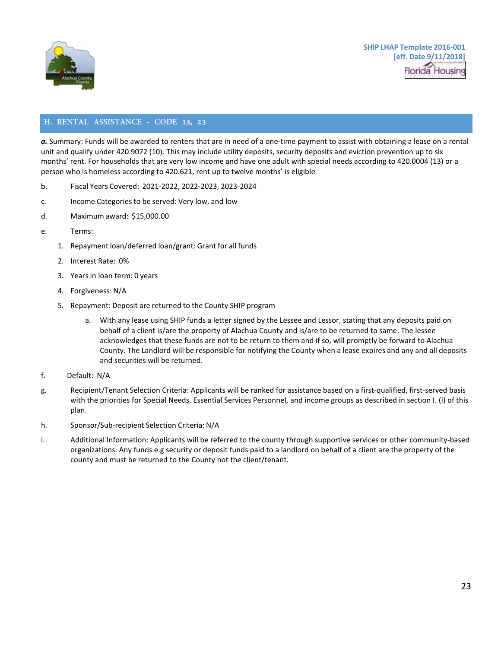

# <span id="page-20-0"></span>**H. RENTAL ASSISTANCE - CODE 13, 23**

*a.* Summary: Funds will be awarded to renters that are in need of a one-time payment to assist with obtaining a lease on a rental unit and qualify under 420.9072 (10). This may include utility deposits, security deposits and eviction prevention up to six months' rent. For households that are very low income and have one adult with special needs according to 420.0004 (13) or a person who is homeless according to 420.621, rent up to twelve months' is eligible

- b. Fiscal Years Covered: 2021-2022, 2022-2023, 2023-2024
- c. Income Categoriesto be served: Very low, and low
- d. Maximum award: \$15,000.00
- e. Terms:
	- 1. Repayment loan/deferred loan/grant: Grant for all funds
	- 2. Interest Rate: 0%
	- 3. Years in loan term: 0 years
	- 4. Forgiveness: N/A
	- 5. Repayment: Deposit are returned to the County SHIP program
		- a. With any lease using SHIP funds a letter signed by the Lessee and Lessor, stating that any deposits paid on behalf of a client is/are the property of Alachua County and is/are to be returned to same. The lessee acknowledges that these funds are not to be return to them and if so, will promptly be forward to Alachua County. The Landlord will be responsible for notifying the County when a lease expires and any and all deposits and securities will be returned.
- f. Default: N/A
- g. Recipient/Tenant Selection Criteria: Applicants will be ranked for assistance based on a first-qualified, first-served basis with the priorities for Special Needs, Essential Services Personnel, and income groups as described in section I. (I) of this plan.
- h. Sponsor/Sub-recipient Selection Criteria: N/A
- i. Additional Information: Applicants will be referred to the county through supportive services or other community-based organizations. Any funds e.g security or deposit funds paid to a landlord on behalf of a client are the property of the county and must be returned to the County not the client/tenant.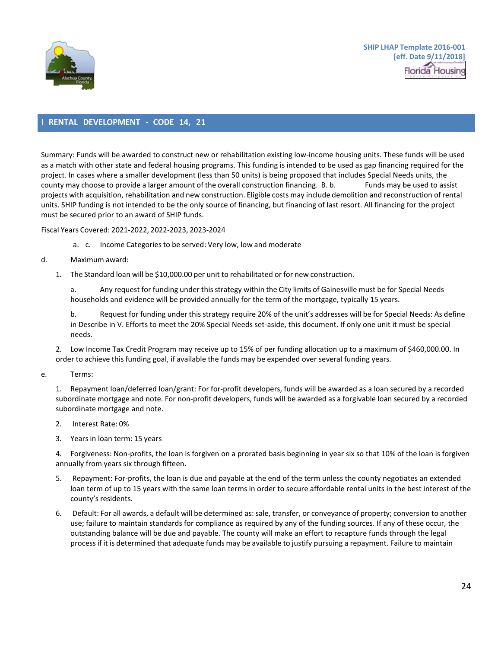

#### <span id="page-21-0"></span>**I RENTAL DEVELOPMENT - CODE 14, 21**

Summary: Funds will be awarded to construct new or rehabilitation existing low-income housing units. These funds will be used as a match with other state and federal housing programs. This funding is intended to be used as gap financing required for the project. In cases where a smaller development (less than 50 units) is being proposed that includes Special Needs units, the county may choose to provide a larger amount of the overall construction financing. B. b. Funds may be used to assist projects with acquisition, rehabilitation and new construction. Eligible costs may include demolition and reconstruction of rental units. SHIP funding is not intended to be the only source of financing, but financing of last resort. All financing for the project must be secured prior to an award of SHIP funds.

Fiscal Years Covered: 2021-2022, 2022-2023, 2023-2024

- a. c. Income Categoriesto be served: Very low, low and moderate
- d. Maximum award:
	- 1. The Standard loan will be \$10,000.00 per unit to rehabilitated or for new construction.

a. Any request for funding under thisstrategy within the City limits of Gainesville must be for Special Needs households and evidence will be provided annually for the term of the mortgage, typically 15 years.

b. Request for funding under this strategy require 20% of the unit's addresses will be for Special Needs: As define in Describe in V. Efforts to meet the 20% Special Needs set-aside, this document. If only one unit it must be special needs.

2. Low Income Tax Credit Program may receive up to 15% of per funding allocation up to a maximum of \$460,000.00. In order to achieve this funding goal, if available the funds may be expended over several funding years.

- e. Terms:
	- 1. Repayment loan/deferred loan/grant: For for-profit developers, funds will be awarded as a loan secured by a recorded subordinate mortgage and note. For non-profit developers, funds will be awarded as a forgivable loan secured by a recorded subordinate mortgage and note.
	- 2. Interest Rate: 0%
	- 3. Yearsin loan term: 15 years

4. Forgiveness: Non-profits, the loan is forgiven on a prorated basis beginning in year six so that 10% of the loan is forgiven annually from years six through fifteen.

- 5. Repayment: For-profits, the loan is due and payable at the end of the term unless the county negotiates an extended loan term of up to 15 years with the same loan terms in order to secure affordable rental units in the best interest of the county's residents.
- 6. Default: For all awards, a default will be determined as: sale, transfer, or conveyance of property; conversion to another use; failure to maintain standards for compliance as required by any of the funding sources. If any of these occur, the outstanding balance will be due and payable. The county will make an effort to recapture funds through the legal processif it is determined that adequate funds may be available to justify pursuing a repayment. Failure to maintain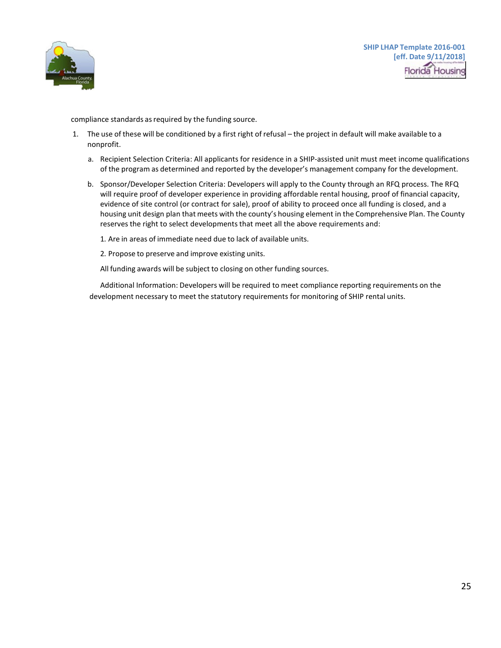

compliance standards as required by the funding source.

- 1. The use of these will be conditioned by a first right of refusal the project in default will make available to a nonprofit.
	- a. Recipient Selection Criteria: All applicants for residence in a SHIP-assisted unit must meet income qualifications of the program as determined and reported by the developer's management company for the development.
	- b. Sponsor/Developer Selection Criteria: Developers will apply to the County through an RFQ process. The RFQ will require proof of developer experience in providing affordable rental housing, proof of financial capacity, evidence of site control (or contract for sale), proof of ability to proceed once all funding is closed, and a housing unit design plan that meets with the county's housing element in the Comprehensive Plan. The County reserves the right to select developments that meet all the above requirements and:
		- 1. Are in areas of immediate need due to lack of available units.
		- 2. Propose to preserve and improve existing units.

All funding awards will be subject to closing on other funding sources.

Additional Information: Developers will be required to meet compliance reporting requirements on the development necessary to meet the statutory requirements for monitoring of SHIP rental units.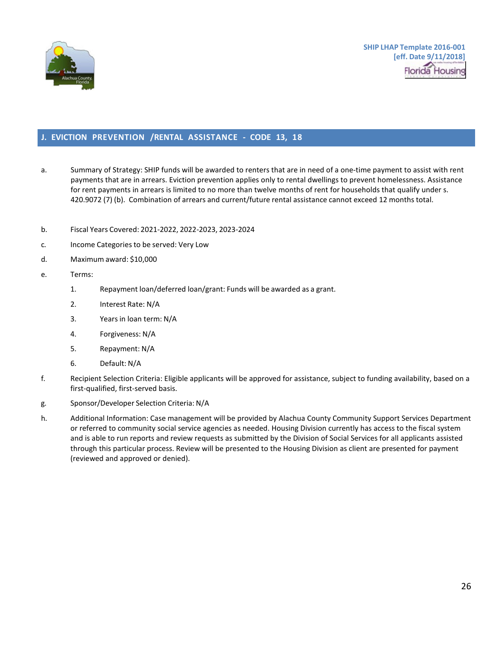

## <span id="page-23-0"></span>**J. EVICTION PREVENTION /RENTAL ASSISTANCE - CODE 13, 18**

- a. Summary of Strategy: SHIP funds will be awarded to renters that are in need of a one-time payment to assist with rent payments that are in arrears. Eviction prevention applies only to rental dwellings to prevent homelessness. Assistance for rent payments in arrears is limited to no more than twelve months of rent for households that qualify under s. 420.9072 (7) (b). Combination of arrears and current/future rental assistance cannot exceed 12 months total.
- b. Fiscal Years Covered: 2021-2022, 2022-2023, 2023-2024
- c. Income Categoriesto be served: Very Low
- d. Maximum award: \$10,000
- e. Terms:
	- 1. Repayment loan/deferred loan/grant: Funds will be awarded as a grant.
	- 2. Interest Rate: N/A
	- 3. Yearsin loan term: N/A
	- 4. Forgiveness: N/A
	- 5. Repayment: N/A
	- 6. Default: N/A
- f. Recipient Selection Criteria: Eligible applicants will be approved for assistance, subject to funding availability, based on a first-qualified, first-served basis.
- g. Sponsor/Developer Selection Criteria: N/A
- h. Additional Information: Case management will be provided by Alachua County Community Support Services Department or referred to community social service agencies as needed. Housing Division currently has access to the fiscal system and is able to run reports and review requests as submitted by the Division of Social Services for all applicants assisted through this particular process. Review will be presented to the Housing Division as client are presented for payment (reviewed and approved or denied).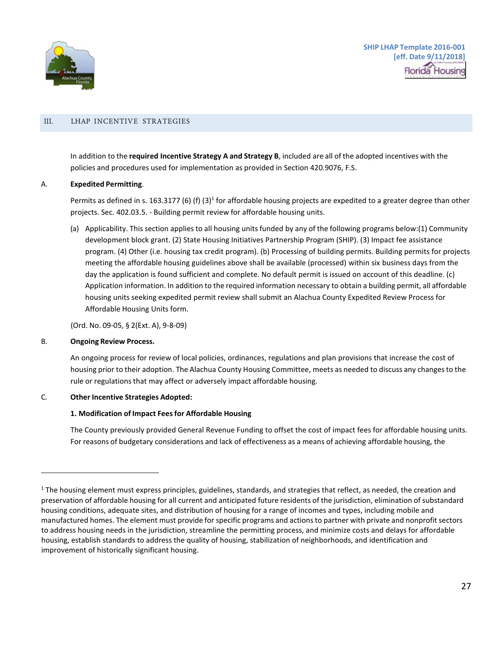

#### <span id="page-24-0"></span>III. LHAP INCENTIVE STRATEGIES

In addition to the **required Incentive Strategy A and Strategy B**, included are all of the adopted incentives with the policies and procedures used for implementation as provided in Section 420.9076, F.S.

#### A. **Expedited Permitting**.

Permits as defined in s. 163.3177 (6) (f) (3)<sup>1</sup> for affordable housing projects are expedited to a greater degree than other projects. Sec. 402.03.5. - Building permit review for affordable housing units.

(a) Applicability. This section applies to all housing units funded by any of the following programs below:(1) Community development block grant. (2) State Housing Initiatives Partnership Program (SHIP). (3) Impact fee assistance program. (4) Other (i.e. housing tax credit program). (b) Processing of building permits. Building permits for projects meeting the affordable housing guidelines above shall be available (processed) within six business days from the day the application is found sufficient and complete. No default permit is issued on account of this deadline. (c) Application information. In addition to the required information necessary to obtain a building permit, all affordable housing units seeking expedited permit review shall submit an Alachua County Expedited Review Process for Affordable Housing Units form.

(Ord. No. 09-05, § 2(Ext. A), 9-8-09)

#### B. **Ongoing Review Process.**

An ongoing process for review of local policies, ordinances, regulations and plan provisions that increase the cost of housing prior to their adoption. The Alachua County Housing Committee, meets as needed to discuss any changesto the rule or regulations that may affect or adversely impact affordable housing.

#### C. **Other Incentive Strategies Adopted:**

#### **1. Modification of Impact Feesfor Affordable Housing**

The County previously provided General Revenue Funding to offset the cost of impact fees for affordable housing units. For reasons of budgetary considerations and lack of effectiveness as a means of achieving affordable housing, the

<span id="page-24-1"></span> $1$  The housing element must express principles, guidelines, standards, and strategies that reflect, as needed, the creation and preservation of affordable housing for all current and anticipated future residents of the jurisdiction, elimination of substandard housing conditions, adequate sites, and distribution of housing for a range of incomes and types, including mobile and manufactured homes. The element must provide for specific programs and actionsto partner with private and nonprofitsectors to address housing needs in the jurisdiction, streamline the permitting process, and minimize costs and delays for affordable housing, establish standards to address the quality of housing, stabilization of neighborhoods, and identification and improvement of historically significant housing.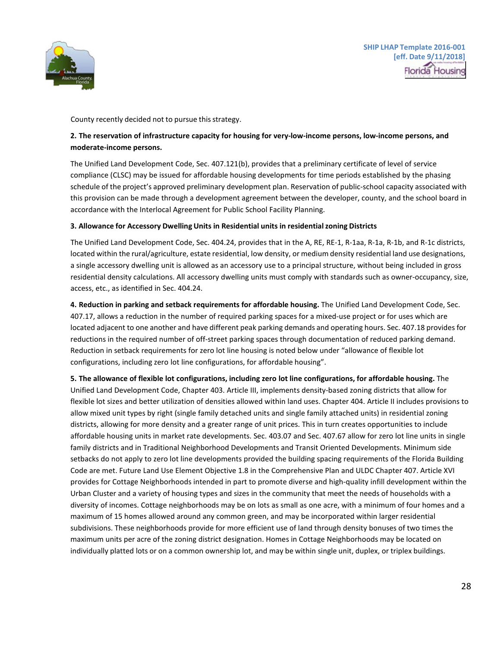

County recently decided not to pursue this strategy.

## **2. The reservation of infrastructure capacity for housing for very-low-income persons, low-income persons, and moderate-income persons.**

The Unified Land Development Code, Sec. 407.121(b), provides that a preliminary certificate of level of service compliance (CLSC) may be issued for affordable housing developments for time periods established by the phasing schedule of the project's approved preliminary development plan. Reservation of public-school capacity associated with this provision can be made through a development agreement between the developer, county, and the school board in accordance with the Interlocal Agreement for Public School Facility Planning.

#### **3. Allowance for Accessory Dwelling Units in Residential units in residentialzoning Districts**

The Unified Land Development Code, Sec. 404.24, provides that in the A, RE, RE-1, R-1aa, R-1a, R-1b, and R-1c districts, located within the rural/agriculture, estate residential, low density, or medium density residential land use designations, a single accessory dwelling unit is allowed as an accessory use to a principal structure, without being included in gross residential density calculations. All accessory dwelling units must comply with standards such as owner-occupancy, size, access, etc., as identified in Sec. 404.24.

**4. Reduction in parking and setback requirements for affordable housing.** The Unified Land Development Code, Sec. 407.17, allows a reduction in the number of required parking spaces for a mixed-use project or for uses which are located adjacent to one another and have different peak parking demands and operating hours. Sec. 407.18 provides for reductions in the required number of off-street parking spaces through documentation of reduced parking demand. Reduction in setback requirements for zero lot line housing is noted below under "allowance of flexible lot configurations, including zero lot line configurations, for affordable housing".

**5. The allowance of flexible lot configurations, including zero lot line configurations, for affordable housing.** The Unified Land Development Code, Chapter 403. Article III, implements density-based zoning districts that allow for flexible lot sizes and better utilization of densities allowed within land uses. Chapter 404. Article II includes provisions to allow mixed unit types by right (single family detached units and single family attached units) in residential zoning districts, allowing for more density and a greater range of unit prices. This in turn creates opportunities to include affordable housing units in market rate developments. Sec. 403.07 and Sec. 407.67 allow for zero lot line units in single family districts and in Traditional Neighborhood Developments and Transit Oriented Developments. Minimum side setbacks do not apply to zero lot line developments provided the building spacing requirements of the Florida Building Code are met. Future Land Use Element Objective 1.8 in the Comprehensive Plan and ULDC Chapter 407. Article XVI provides for Cottage Neighborhoods intended in part to promote diverse and high-quality infill development within the Urban Cluster and a variety of housing types and sizes in the community that meet the needs of households with a diversity of incomes. Cottage neighborhoods may be on lots as small as one acre, with a minimum of four homes and a maximum of 15 homes allowed around any common green, and may be incorporated within larger residential subdivisions. These neighborhoods provide for more efficient use of land through density bonuses of two times the maximum units per acre of the zoning district designation. Homes in Cottage Neighborhoods may be located on individually platted lots or on a common ownership lot, and may be within single unit, duplex, or triplex buildings.